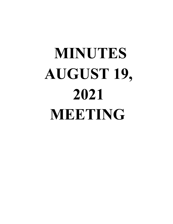# **MINUTES AUGUST 19, 2021 MEETING**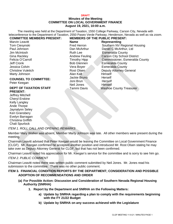#### **DRAFT Minutes of the Meeting COMMITTEE ON LOCAL GOVERNMENT FINANCE August 19, 2021, 10:00 a.m.**

The meeting was held at the Department of Taxation, 1550 College Parkway, Carson City, Nevada with teleconference to the Department of Taxation, 2550 Paseo Verde Parkway, Henderson, Nevada as well as via zoom. **COMMITTEE MEMBERS PRESENT: MEMBERS OF THE PUBLIC PRESENT:**

| <b>Marvin Leavitt</b>         | <b>Name</b>        | <b>Representing</b>                |
|-------------------------------|--------------------|------------------------------------|
| <b>Tom Ciesynski</b>          | Fred Herron        | Southern NV Regional Housing       |
| Paul Johnson                  | Dan McArthur       | Daniel C McArthur, Ltd             |
| Jim McIntosh                  | <b>Ruth Lee</b>    | <b>Esmeralda County</b>            |
| Gina Rackley                  | Andrew Feuling     | <b>Carson City School District</b> |
| Felicia O'Carroll             | Timothy Hipp       | Commissioner, Esmeralda County     |
| Jeff Cronk                    | <b>Bob Glennen</b> | <b>Esmeralda County</b>            |
| Jessica Colvin                | Vera Boyer         | <b>Esmeralda County</b>            |
| <b>Christine Vuletich</b>     | Rost Olsen         | <b>Deputy Attorney General</b>     |
| Marty Johnson                 | Alan Kalt          | <b>Himself</b>                     |
| <b>COUNSEL TO COMMITTEE:</b>  | Jackie Bruno       | Herself                            |
|                               | Joni Brun          | Herself                            |
| Peter Keegan                  | Neil Jones         | <b>Himself</b>                     |
| <b>DEPT OF TAXATION STAFF</b> | Tammi Davis        | <b>Washoe County Treasurer</b>     |
| <b>PRESENT:</b>               |                    |                                    |

Jeffrey Mitchell Cheryl Erskine Kelly Langley Ande Thorpe Jaynalynn Seley Keri Gransbery Evelyn Barragan Christina Griffith Chali Spurlock

*ITEM 1. ROLL CALL AND OPENING REMARKS*

Member Mary Walker was absent, Member Marty Johnson was late. All other members were present during the meeting.

Chairman Leavitt advised that Peter Keegan would be leaving the Committee on Local Government Finance (CLGF). Mr. Keegan confirmed he accepted another position and introduced Mr. Rost Olsen stating he may take over as Deputy Attorney General for CLGF, but that has not been confirmed.

Chairman Leavitt noted his appreciation for Mr. Keegan's service for the committee and is sorry to see him go. *ITEM 2. PUBLIC COMMENT*

Chairman Leavitt noted there was written public comment submitted by Neil Jones. Mr. Jones read his submission to the committee. There was no other public comment.

# **ITEM 3. FINANCIAL CONDITION REPORTS BY THE DEPARTMENT; CONSIDERATION AND POSSIBLE ADOPTION OF RECOMMENDATIONS AND ORDER**

- **(a) For Possible Action: Discussion and Consideration of Southern Nevada Regional Housing Authority (SNRHA)**
	- **1. Report by the Department and SNRHA on the Following Matters:**
		- **a) Update by SNRHA regarding a plan to comply with the requirements beginning with the FY 21/22 Budget**
		- **b) Update by SNRHA on any success achieved with the Legislature**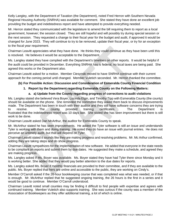Kelly Langley, with the Department of Taxation (the Department), noted Fred Herron with Southern Nevada Regional Housing Authority (SNRHA) was available for comment. She stated they have done an excellent job providing the budget and indebtedness report and have attempted to provide everything needed.

Mr. Herron stated they communicated with the legislature to amend the bill requiring them to report as a local government, however; the session closed. They are still hopeful and will possibly try during special session or the next session. They requested a change to their fiscal year for the budget and audit, if approved it would be changed for June 2023. They will continue to try to be removed, update their fiscal year, or try for an exception to the fiscal year requirement.

Chairman Leavitt appreciates what they have done. He thinks they could continue as they have been until this is resolved. He believes it would be acceptable to the Department.

Ms. Langley stated they have complied with the Department's timelines on other reports. It would be helpful if the audit could be provided in December. Everything SNRHA has is federal, no local taxes are being paid. She agreed this works or the Department also.

Chairman Leavitt asked for a motion. Member Ciesynski moved to have SNRHA continue with their current approach for the coming period until changed. Member Vuletich seconded. Mr. Herron thanked the committee.

# **(b) For Possible Action: Discussion and Consideration of Esmeralda County Financial Condition**

### **1. Report by the Department regarding Esmeralda County on the Following Matters:**

#### **a. a) Update from the County regarding progress of corrections to audit violations**

Ms. Langley stated she believed Vera Boyer, Lucinda Elgin, and Timothy Tipp with Esmeralda County (the county) should be available on the phone. She reminded the committee they asked them back to discuss improvements made. The Department has been in touch with their auditor and they still have software concerns they are trying<br>to resolve. The county provided training certificates. The Department is to resolve. The county provided training certificates. The Department is frustrated that the indebtedness report was 10 days late. She stated she has seen improvement but there is still work to be done.

Chairman Leavitt asked Dan McArthur, the auditor for Esmeralda County to speak.

Mr. McArthur stated he has seen improvements. He added the Tyler software is still an issue and understands Tyler is working with them and doing training. He noted they do have an issue with journal entries. He does not perceive an untimely audit, but that will depend on Tyler.

Chairman Leavitt stated it sounds like they are making progress and resolving problems. Mr. Mc Arthur confirmed, adding they are taking steps and do show progress.

Chairman Leavitt sympathizes for the implementation of new software. He added that everyone in the state needs to be compliant on reports and submit them by due dates. He suggested they make a schedule, and agreed they are making progress.

Ms. Langley asked if Ms. Boyer was available. Ms. Boyer stated they have had Tyler there since Monday and it is working better. She added that they would pay better attention to the due dates for reports.

Ms. Langley asked Ms. Boyer if monthly financials are provided to their committee, and if they are available to the public. Ms. Boyer replied that hers are online and accessible to the public, they are working on Cindy's.

Member O'Carroll asked if the 26-hour bookkeeping course that was completed was what was needed, or if that is enough. Mr. McArthur replied that he suggested ongoing training, the 26 hours is the first in a series and it would be good to continue. Member O'Carroll understood.

Chairman Leavitt noted small counties may be finding it difficult to find people with expertise and agrees with continued training. Member Vuletich also supports training. She was curious if the county was a member of the Association of Bookkeepers as they offer additional training, a lot of which is online.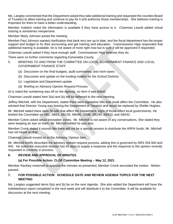Ms. Langley commented that the Department asked they take additional training and requested the counties Board of Trustees to allow training and continue to pay for it and authorize those memberships. She believes training is important for them to have a better understanding.

Member Vuletich noted the information is available if they have access to it. Chairman Leavitt added virtual training is sometimes inexpensive.

Member Marty Johnson joined the meeting.

Member Paul Johnson wanted clarification that bank recs are up to date, and the fiscal department has the proper support and budget to fix their accounting and get training and education. Commissioner Hipp responded that additional training is available, he is not aware of more right now but is sure it will be approved if requested.

Chairman Leavitt asked if they have enough staff. Commissioner Hipp believes they do.

There were no further comments regarding Esmeralda County.

- 5. BRIEFING TO AND FROM THE COMMITTEE ON LOCAL GOVERNMENT FINANCE AND LOCAL GOVERNMENT FINANCE STAFF
	- (a) Discussion on the final budgets, audit summaries, and room taxes
	- (b) Discussion and update on the funding models for the School Districts
	- (c) Legislative and Department update
	- (d) Briefing on Advisory Opinion Request Process

(It is noted the numbering was off on the Agenda, no Item 4 was listed)

Chairman Leavitt stated Item 5(a) and (b) will be deferred to the next meeting.

Jeffrey Mitchell, with the Department, stated there were legislative bills that could affect the Committee. He also advised that Director Young was leaving the Department of Taxation and would be replaced by Shellie Hughes.

Mr. Mitchell stated there were 50 bills that affect the Department, eight of those affect local governments. He briefed the Committee on AB2, AB63, AB139, AB495, SB98, SB294, SB423, and SB442.

Member Colvin asked about innovation zones. Mr. Mitchell is not aware of any conversations. She stated they were keeping an eye on them, Mr. Mitchell added he was also.

Member Cronk stated it sounds like there will not be a special session to distribute the ARPA funds, Mr. Mitchell has not heard on that.

Chairman Leavitt moved on to the Advisory Opinion item.

Mr. Mitchell briefly described the advisory opinion request process, adding this is governed by NRS 354.940 and 942. He noted the executive director has 45 days to supply a response and the response to the opinion recently requested is currently in process.

### **6. REVIEW AND APPROVAL OF MINUTES**

### **(a) For Possible Action: CLGF Committee Meeting – May 12, 2021**

Member Rackley motioned to approve the minutes as presented, Member Cronk seconded the motion. Motion passed.

### **7. FOR POSSIBLE ACTION: SCHEDULE DATE AND REVIEW AGENDA TOPICS FOR THE NEXT MEETING**

Ms. Langley suggested items 5(a) and (b) be on the next Agenda. She also added the Department will have the indebtedness report completed in the next week and will distribute it to the Committee. It will be available for discussion at the next meeting.